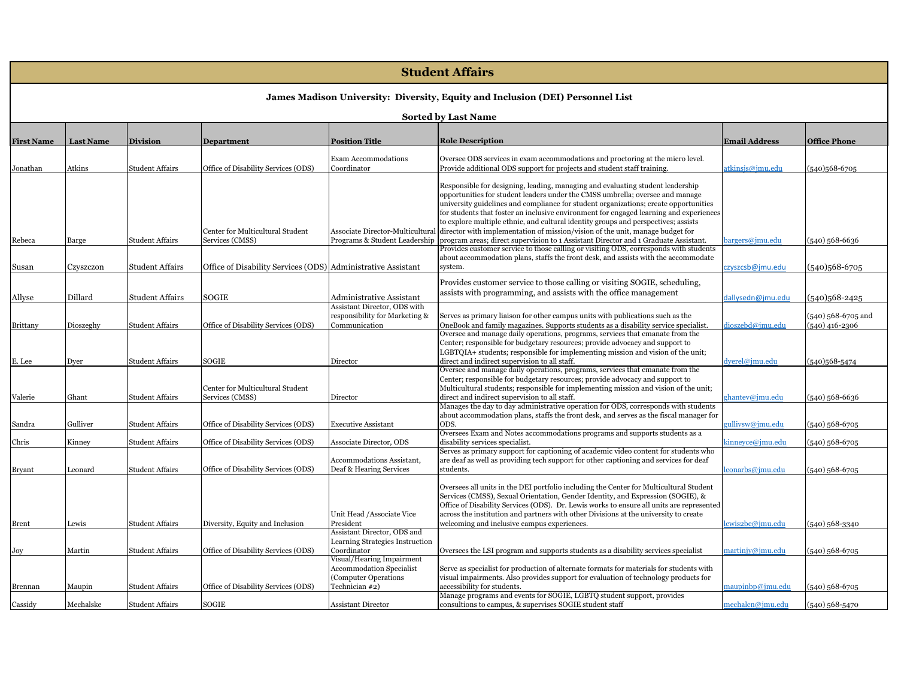# **Student Affairs**

## **James Madison University: Diversity, Equity and Inclusion (DEI) Personnel List**

| <b>First Name</b> | <b>Last Name</b> | <b>Division</b>        | <b>Department</b>                                            | <b>Position Title</b>                           | <b>Role Description</b>                                                                                                                                                          | <b>Email Address</b>    | <b>Office Phone</b>                    |
|-------------------|------------------|------------------------|--------------------------------------------------------------|-------------------------------------------------|----------------------------------------------------------------------------------------------------------------------------------------------------------------------------------|-------------------------|----------------------------------------|
|                   |                  |                        |                                                              | Exam Accommodations                             | Oversee ODS services in exam accommodations and proctoring at the micro level.                                                                                                   |                         |                                        |
| Jonathan          | Atkins           | <b>Student Affairs</b> | Office of Disability Services (ODS)                          | Coordinator                                     | Provide additional ODS support for projects and student staff training.                                                                                                          | <u>itkinsjs@jmu.edu</u> | (540)568-6705                          |
|                   |                  |                        |                                                              |                                                 | Responsible for designing, leading, managing and evaluating student leadership                                                                                                   |                         |                                        |
|                   |                  |                        |                                                              |                                                 | opportunities for student leaders under the CMSS umbrella; oversee and manage                                                                                                    |                         |                                        |
|                   |                  |                        |                                                              |                                                 | university guidelines and compliance for student organizations; create opportunities                                                                                             |                         |                                        |
|                   |                  |                        |                                                              |                                                 | for students that foster an inclusive environment for engaged learning and experiences                                                                                           |                         |                                        |
|                   |                  |                        |                                                              |                                                 | to explore multiple ethnic, and cultural identity groups and perspectives; assists                                                                                               |                         |                                        |
|                   |                  |                        | Center for Multicultural Student                             | Associate Director-Multicultural                | director with implementation of mission/vision of the unit, manage budget for                                                                                                    |                         |                                        |
| Rebeca            | Barge            | <b>Student Affairs</b> | Services (CMSS)                                              | Programs & Student Leadership                   | program areas; direct supervision to 1 Assistant Director and 1 Graduate Assistant.                                                                                              | bargers@jmu.edu         | (540) 568-6636                         |
|                   |                  |                        |                                                              |                                                 | Provides customer service to those calling or visiting ODS, corresponds with students                                                                                            |                         |                                        |
|                   |                  |                        |                                                              |                                                 | about accommodation plans, staffs the front desk, and assists with the accommodate                                                                                               |                         |                                        |
| Susan             | Czyszczon        | <b>Student Affairs</b> | Office of Disability Services (ODS) Administrative Assistant |                                                 | system.                                                                                                                                                                          | czyszcsb@jmu.edu        | $(540)568-6705$                        |
|                   |                  |                        |                                                              |                                                 | Provides customer service to those calling or visiting SOGIE, scheduling,                                                                                                        |                         |                                        |
|                   |                  |                        |                                                              |                                                 | assists with programming, and assists with the office management                                                                                                                 |                         |                                        |
| Allyse            | Dillard          | <b>Student Affairs</b> | <b>SOGIE</b>                                                 | Administrative Assistant                        |                                                                                                                                                                                  | dallysedn@jmu.edu       | (540)568-2425                          |
|                   |                  |                        |                                                              | Assistant Director, ODS with                    |                                                                                                                                                                                  |                         |                                        |
| Brittany          | Dioszeghy        | <b>Student Affairs</b> | Office of Disability Services (ODS)                          | responsibility for Marketing &<br>Communication | Serves as primary liaison for other campus units with publications such as the<br>OneBook and family magazines. Supports students as a disability service specialist.            | dioszebd@jmu.edu        | (540) 568-6705 and<br>$(540)$ 416-2306 |
|                   |                  |                        |                                                              |                                                 | Oversee and manage daily operations, programs, services that emanate from the                                                                                                    |                         |                                        |
|                   |                  |                        |                                                              |                                                 | Center; responsible for budgetary resources; provide advocacy and support to                                                                                                     |                         |                                        |
|                   |                  |                        |                                                              |                                                 | LGBTQIA+ students; responsible for implementing mission and vision of the unit;                                                                                                  |                         |                                        |
| E. Lee            | Dyer             | <b>Student Affairs</b> | SOGIE                                                        | Director                                        | direct and indirect supervision to all staff.                                                                                                                                    | dyerel@jmu.edu          | $(540)568 - 5474$                      |
|                   |                  |                        |                                                              |                                                 | Oversee and manage daily operations, programs, services that emanate from the                                                                                                    |                         |                                        |
|                   |                  |                        |                                                              |                                                 | Center; responsible for budgetary resources; provide advocacy and support to                                                                                                     |                         |                                        |
|                   |                  |                        | Center for Multicultural Student                             |                                                 | Multicultural students; responsible for implementing mission and vision of the unit;                                                                                             |                         |                                        |
| Valerie           | Ghant            | <b>Student Affairs</b> | Services (CMSS)                                              | Director                                        | direct and indirect supervision to all staff.                                                                                                                                    | ghantev@jmu.edu         | $(540)$ 568-6636                       |
|                   |                  |                        |                                                              |                                                 | Manages the day to day administrative operation for ODS, corresponds with students<br>about accommodation plans, staffs the front desk, and serves as the fiscal manager for     |                         |                                        |
| Sandra            | Gulliver         | <b>Student Affairs</b> | Office of Disability Services (ODS)                          | <b>Executive Assistant</b>                      | ODS.                                                                                                                                                                             | gullivsw@jmu.edu        | (540) 568-6705                         |
|                   |                  |                        |                                                              |                                                 | Oversees Exam and Notes accommodations programs and supports students as a                                                                                                       |                         |                                        |
| Chris             | Kinney           | <b>Student Affairs</b> | Office of Disability Services (ODS)                          | Associate Director, ODS                         | disability services specialist.                                                                                                                                                  | kinneyce@jmu.edu        | (540) 568-6705                         |
|                   |                  |                        |                                                              |                                                 | Serves as primary support for captioning of academic video content for students who                                                                                              |                         |                                        |
|                   |                  |                        |                                                              | <b>Accommodations Assistant,</b>                | are deaf as well as providing tech support for other captioning and services for deaf                                                                                            |                         |                                        |
| <b>Bryant</b>     | Leonard          | <b>Student Affairs</b> | Office of Disability Services (ODS)                          | Deaf & Hearing Services                         | students.                                                                                                                                                                        | eonarbs@jmu.edu         | (540) 568-6705                         |
|                   |                  |                        |                                                              |                                                 |                                                                                                                                                                                  |                         |                                        |
|                   |                  |                        |                                                              |                                                 | Oversees all units in the DEI portfolio including the Center for Multicultural Student                                                                                           |                         |                                        |
|                   |                  |                        |                                                              |                                                 | Services (CMSS), Sexual Orientation, Gender Identity, and Expression (SOGIE), &                                                                                                  |                         |                                        |
|                   |                  |                        |                                                              | Unit Head /Associate Vice                       | Office of Disability Services (ODS). Dr. Lewis works to ensure all units are represented<br>across the institution and partners with other Divisions at the university to create |                         |                                        |
| <b>Brent</b>      | Lewis            | <b>Student Affairs</b> | Diversity, Equity and Inclusion                              | President                                       | welcoming and inclusive campus experiences.                                                                                                                                      | <u>ewis2be@jmu.edu</u>  | $(540)$ 568-3340                       |
|                   |                  |                        |                                                              | Assistant Director, ODS and                     |                                                                                                                                                                                  |                         |                                        |
|                   |                  |                        |                                                              | Learning Strategies Instruction                 |                                                                                                                                                                                  |                         |                                        |
| Joy               | Martin           | <b>Student Affairs</b> | Office of Disability Services (ODS)                          | Coordinator                                     | Oversees the LSI program and supports students as a disability services specialist                                                                                               | martinjy@jmu.edu        | (540) 568-6705                         |
|                   |                  |                        |                                                              | Visual/Hearing Impairment                       |                                                                                                                                                                                  |                         |                                        |
|                   |                  |                        |                                                              | <b>Accommodation Specialist</b>                 | Serve as specialist for production of alternate formats for materials for students with                                                                                          |                         |                                        |
|                   |                  |                        |                                                              | (Computer Operations                            | visual impairments. Also provides support for evaluation of technology products for                                                                                              |                         |                                        |
| Brennan           | Maupin           | <b>Student Affairs</b> | Office of Disability Services (ODS)                          | Technician #2)                                  | accessibility for students.                                                                                                                                                      | maupinbp@jmu.edu        | (540) 568-6705                         |
| Cassidy           | Mechalske        | <b>Student Affairs</b> | <b>SOGIE</b>                                                 | <b>Assistant Director</b>                       | Manage programs and events for SOGIE, LGBTQ student support, provides<br>consultions to campus, & supervises SOGIE student staff                                                 | mechalcn@jmu.edu        | $(540)$ 568-5470                       |
|                   |                  |                        |                                                              |                                                 |                                                                                                                                                                                  |                         |                                        |